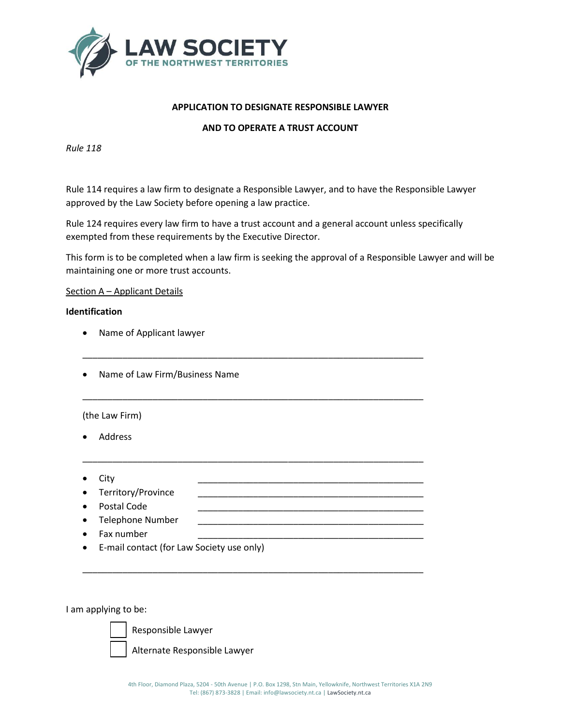

# **APPLICATION TO DESIGNATE RESPONSIBLE LAWYER**

# **AND TO OPERATE A TRUST ACCOUNT**

*Rule 118*

Rule 114 requires a law firm to designate a Responsible Lawyer, and to have the Responsible Lawyer approved by the Law Society before opening a law practice.

Rule 124 requires every law firm to have a trust account and a general account unless specifically exempted from these requirements by the Executive Director.

\_\_\_\_\_\_\_\_\_\_\_\_\_\_\_\_\_\_\_\_\_\_\_\_\_\_\_\_\_\_\_\_\_\_\_\_\_\_\_\_\_\_\_\_\_\_\_\_\_\_\_\_\_\_\_\_\_\_\_\_\_\_\_\_\_\_\_\_

\_\_\_\_\_\_\_\_\_\_\_\_\_\_\_\_\_\_\_\_\_\_\_\_\_\_\_\_\_\_\_\_\_\_\_\_\_\_\_\_\_\_\_\_\_\_\_\_\_\_\_\_\_\_\_\_\_\_\_\_\_\_\_\_\_\_\_\_

\_\_\_\_\_\_\_\_\_\_\_\_\_\_\_\_\_\_\_\_\_\_\_\_\_\_\_\_\_\_\_\_\_\_\_\_\_\_\_\_\_\_\_\_\_\_\_\_\_\_\_\_\_\_\_\_\_\_\_\_\_\_\_\_\_\_\_\_

\_\_\_\_\_\_\_\_\_\_\_\_\_\_\_\_\_\_\_\_\_\_\_\_\_\_\_\_\_\_\_\_\_\_\_\_\_\_\_\_\_\_\_\_\_\_\_\_\_\_\_\_\_\_\_\_\_\_\_\_\_\_\_\_\_\_\_\_

This form is to be completed when a law firm is seeking the approval of a Responsible Lawyer and will be maintaining one or more trust accounts.

### Section A – Applicant Details

#### **Identification**

- Name of Applicant lawyer
- Name of Law Firm/Business Name

### (the Law Firm)

- Address
- City \_\_\_\_\_\_\_\_\_\_\_\_\_\_\_\_\_\_\_\_\_\_\_\_\_\_\_\_\_\_\_\_\_\_\_\_\_\_\_\_\_\_\_\_\_
- Territory/Province
- Postal Code
- Telephone Number
- Fax number
- E-mail contact (for Law Society use only)

I am applying to be:



Responsible Lawyer

Alternate Responsible Lawyer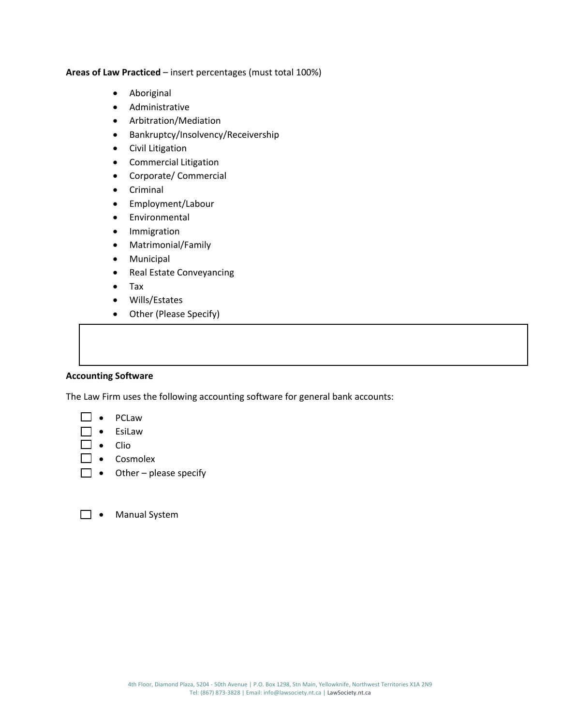**Areas of Law Practiced** – insert percentages (must total 100%)

- Aboriginal
- Administrative
- Arbitration/Mediation
- Bankruptcy/Insolvency/Receivership
- Civil Litigation
- Commercial Litigation
- Corporate/ Commercial
- Criminal
- Employment/Labour
- Environmental
- Immigration
- Matrimonial/Family
- Municipal
- Real Estate Conveyancing
- Tax
- Wills/Estates
- Other (Please Specify)

# **Accounting Software**

The Law Firm uses the following accounting software for general bank accounts:

- PCLaw
- EsiLaw
- $\Box \bullet$  Clio
- Cosmolex
- $\Box \bullet$  Other please specify
- **D** Manual System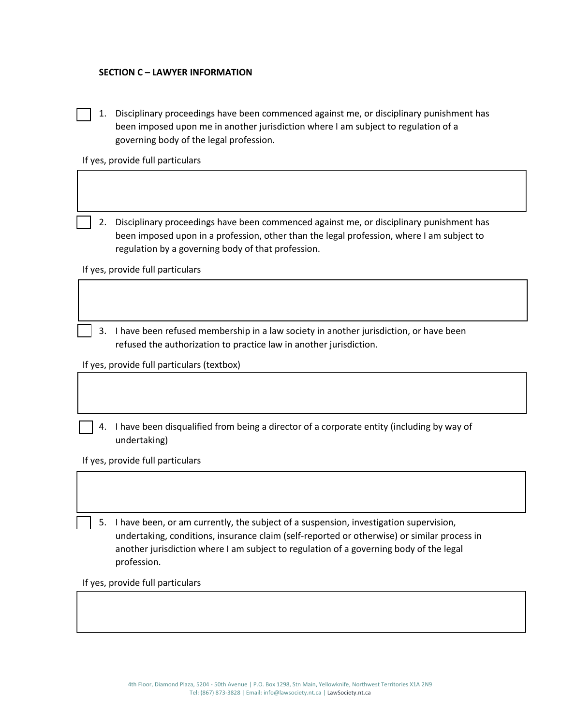### **SECTION C – LAWYER INFORMATION**

1. Disciplinary proceedings have been commenced against me, or disciplinary punishment has been imposed upon me in another jurisdiction where I am subject to regulation of a governing body of the legal profession.

If yes, provide full particulars

2. Disciplinary proceedings have been commenced against me, or disciplinary punishment has been imposed upon in a profession, other than the legal profession, where I am subject to regulation by a governing body of that profession.

If yes, provide full particulars

3. I have been refused membership in a law society in another jurisdiction, or have been refused the authorization to practice law in another jurisdiction.

If yes, provide full particulars (textbox)

4. I have been disqualified from being a director of a corporate entity (including by way of undertaking)

If yes, provide full particulars

5. I have been, or am currently, the subject of a suspension, investigation supervision, undertaking, conditions, insurance claim (self-reported or otherwise) or similar process in another jurisdiction where I am subject to regulation of a governing body of the legal profession.

If yes, provide full particulars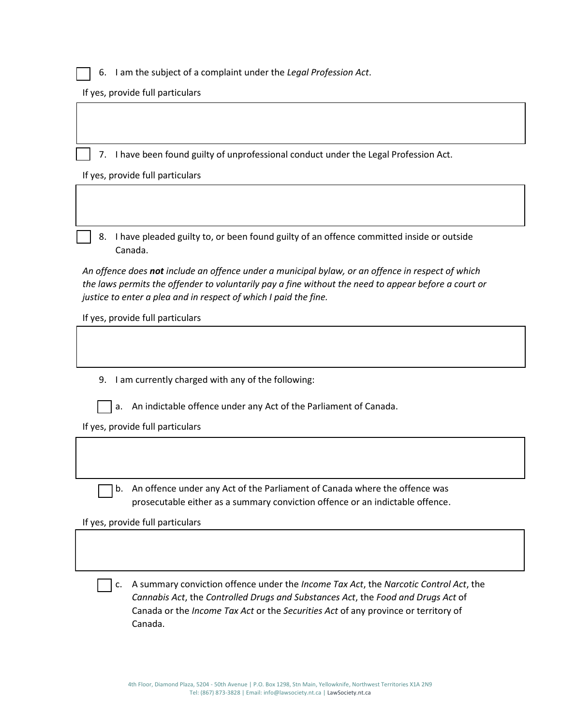6. I am the subject of a complaint under the *Legal Profession Act*.

If yes, provide full particulars

7. I have been found guilty of unprofessional conduct under the Legal Profession Act.

If yes, provide full particulars

8. I have pleaded guilty to, or been found guilty of an offence committed inside or outside Canada.

*An offence does not include an offence under a municipal bylaw, or an offence in respect of which the laws permits the offender to voluntarily pay a fine without the need to appear before a court or justice to enter a plea and in respect of which I paid the fine.*

If yes, provide full particulars

9. I am currently charged with any of the following:



a. An indictable offence under any Act of the Parliament of Canada.

If yes, provide full particulars

b. An offence under any Act of the Parliament of Canada where the offence was prosecutable either as a summary conviction offence or an indictable offence.

If yes, provide full particulars

c. A summary conviction offence under the *Income Tax Act*, the *Narcotic Control Act*, the *Cannabis Act*, the *Controlled Drugs and Substances Act*, the *Food and Drugs Act* of Canada or the *Income Tax Act* or the *Securities Act* of any province or territory of Canada.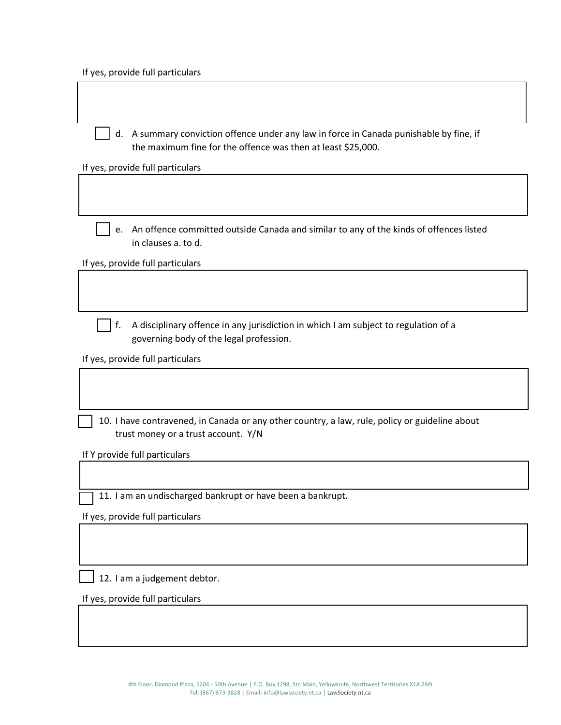If yes, provide full particulars

r

| d. A summary conviction offence under any law in force in Canada punishable by fine, if<br>the maximum fine for the offence was then at least \$25,000. |
|---------------------------------------------------------------------------------------------------------------------------------------------------------|
| If yes, provide full particulars                                                                                                                        |
|                                                                                                                                                         |
| e. An offence committed outside Canada and similar to any of the kinds of offences listed<br>in clauses a. to d.                                        |
| If yes, provide full particulars                                                                                                                        |
|                                                                                                                                                         |
| A disciplinary offence in any jurisdiction in which I am subject to regulation of a<br>f.<br>governing body of the legal profession.                    |
| If yes, provide full particulars                                                                                                                        |
|                                                                                                                                                         |
| 10. I have contravened, in Canada or any other country, a law, rule, policy or guideline about<br>trust money or a trust account. Y/N                   |
| If Y provide full particulars                                                                                                                           |
|                                                                                                                                                         |
| 11. I am an undischarged bankrupt or have been a bankrupt.                                                                                              |
| If yes, provide full particulars                                                                                                                        |
|                                                                                                                                                         |
| 12. I am a judgement debtor.                                                                                                                            |
| If yes, provide full particulars                                                                                                                        |
|                                                                                                                                                         |

٦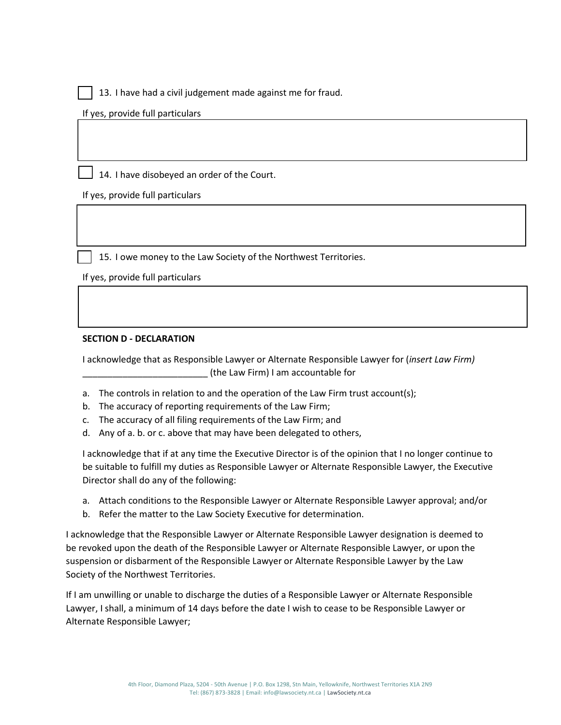13. I have had a civil judgement made against me for fraud.

If yes, provide full particulars

14. I have disobeyed an order of the Court.

If yes, provide full particulars

15. I owe money to the Law Society of the Northwest Territories.

If yes, provide full particulars

### **SECTION D - DECLARATION**

I acknowledge that as Responsible Lawyer or Alternate Responsible Lawyer for (*insert Law Firm)*  \_\_\_\_\_\_\_\_\_\_\_\_\_\_\_\_\_\_\_\_\_\_\_\_\_ (the Law Firm) I am accountable for

- a. The controls in relation to and the operation of the Law Firm trust account(s);
- b. The accuracy of reporting requirements of the Law Firm;
- c. The accuracy of all filing requirements of the Law Firm; and
- d. Any of a. b. or c. above that may have been delegated to others,

I acknowledge that if at any time the Executive Director is of the opinion that I no longer continue to be suitable to fulfill my duties as Responsible Lawyer or Alternate Responsible Lawyer, the Executive Director shall do any of the following:

- a. Attach conditions to the Responsible Lawyer or Alternate Responsible Lawyer approval; and/or
- b. Refer the matter to the Law Society Executive for determination.

I acknowledge that the Responsible Lawyer or Alternate Responsible Lawyer designation is deemed to be revoked upon the death of the Responsible Lawyer or Alternate Responsible Lawyer, or upon the suspension or disbarment of the Responsible Lawyer or Alternate Responsible Lawyer by the Law Society of the Northwest Territories.

If I am unwilling or unable to discharge the duties of a Responsible Lawyer or Alternate Responsible Lawyer, I shall, a minimum of 14 days before the date I wish to cease to be Responsible Lawyer or Alternate Responsible Lawyer;